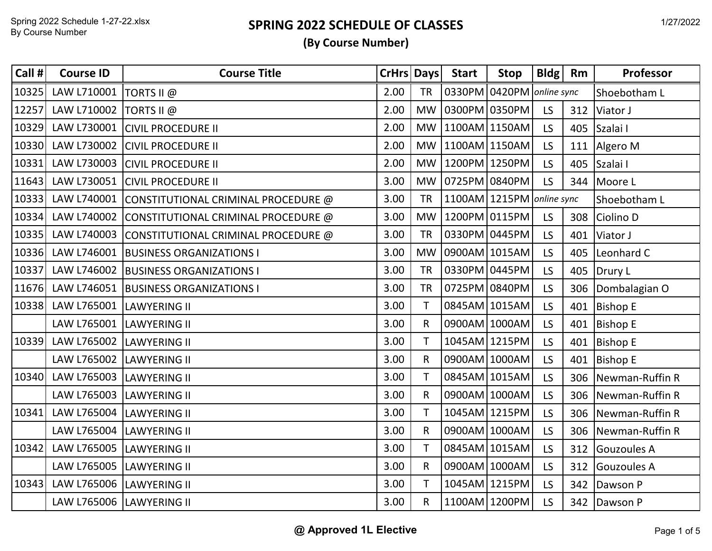| Call # | <b>Course ID</b>          | <b>Course Title</b>                             | CrHrs Days |              | <b>Start</b>         | Stop                      | $B\,$ ldg $\parallel$ | <b>Rm</b> | Professor           |
|--------|---------------------------|-------------------------------------------------|------------|--------------|----------------------|---------------------------|-----------------------|-----------|---------------------|
| 10325  | LAW L710001               | TORTS II $@$                                    | 2.00       | <b>TR</b>    |                      | 0330PM 0420PM online sync |                       |           | Shoebotham L        |
| 12257  | LAW L710002   TORTS II @  |                                                 | 2.00       | MW           | 0300PM 0350PM        |                           | LS                    |           | 312 Viator J        |
| 10329  |                           | LAW L730001 CIVIL PROCEDURE II                  | 2.00       |              | MW   1100AM   1150AM |                           | LS.                   |           | 405 Szalai I        |
| 10330  |                           | LAW L730002 CIVIL PROCEDURE II                  | 2.00       |              | MW 1100AM 1150AM     |                           | LS.                   |           | 111 Algero M        |
| 10331  |                           | LAW L730003 CIVIL PROCEDURE II                  | 2.00       |              | MW 1200PM 1250PM     |                           | LS.                   |           | 405 Szalai I        |
| 11643  |                           | LAW L730051 CIVIL PROCEDURE II                  | 3.00       |              | MW 0725PM 0840PM     |                           | LS                    |           | 344 Moore L         |
| 10333  |                           | LAW L740001 CONSTITUTIONAL CRIMINAL PROCEDURE @ | 3.00       | <b>TR</b>    |                      | 1100AM 1215PM online sync |                       |           | Shoebotham L        |
| 10334  |                           | LAW L740002 CONSTITUTIONAL CRIMINAL PROCEDURE @ | 3.00       | <b>MW</b>    | 1200PM 0115PM        |                           | LS                    |           | 308 Ciolino D       |
| 10335  |                           | LAW L740003 CONSTITUTIONAL CRIMINAL PROCEDURE @ | 3.00       | <b>TR</b>    | 0330PM 0445PM        |                           | LS.                   | 401       | Viator J            |
| 10336  |                           | LAW L746001   BUSINESS ORGANIZATIONS I          | 3.00       | <b>MW</b>    | 0900AM 1015AM        |                           | LS.                   |           | 405 Leonhard C      |
| 10337  | LAW L746002               | <b>BUSINESS ORGANIZATIONS I</b>                 | 3.00       | <b>TR</b>    | 0330PM 0445PM        |                           | LS.                   |           | 405   Drury L       |
|        |                           | 11676 LAW L746051 BUSINESS ORGANIZATIONS I      | 3.00       | <b>TR</b>    | 0725PM 0840PM        |                           | LS.                   |           | 306 Dombalagian O   |
| 10338  | LAW L765001               | <b>LAWYERING II</b>                             | 3.00       | T.           | 0845AM 1015AM        |                           | LS.                   |           | 401 Bishop E        |
|        | LAW L765001  LAWYERING II |                                                 | 3.00       | R.           | 0900AM 1000AM        |                           | LS                    |           | 401 Bishop E        |
| 10339  | LAW L765002               | <b>LAWYERING II</b>                             | 3.00       | $\mathsf{T}$ | 1045AM 1215PM        |                           | LS                    |           | 401 Bishop E        |
|        | LAW L765002 LAWYERING II  |                                                 | 3.00       | R.           | 0900AM 1000AM        |                           | LS.                   |           | 401 Bishop E        |
| 10340  | LAW L765003 LAWYERING II  |                                                 | 3.00       |              | 0845AM 1015AM        |                           | LS.                   |           | 306 Newman-Ruffin R |
|        | LAW L765003  LAWYERING II |                                                 | 3.00       | R.           | 0900AM 1000AM        |                           | LS.                   |           | 306 Newman-Ruffin R |
| 10341  | LAW L765004 LAWYERING II  |                                                 | 3.00       | T            | 1045AM 1215PM        |                           | LS                    |           | 306 Newman-Ruffin R |
|        | LAW L765004  LAWYERING II |                                                 | 3.00       | R.           | 0900AM 1000AM        |                           | LS                    |           | 306 Newman-Ruffin R |
| 10342  | LAW L765005               | <b>LAWYERING II</b>                             | 3.00       | T.           | 0845AM 1015AM        |                           | LS                    |           | 312 Gouzoules A     |
|        | LAW L765005  LAWYERING II |                                                 | 3.00       | $\mathsf{R}$ | 0900AM 1000AM        |                           | LS.                   |           | 312 Gouzoules A     |
| 10343  | LAW L765006 LAWYERING II  |                                                 | 3.00       |              | 1045AM 1215PM        |                           | LS.                   | 342       | Dawson P            |
|        | LAW L765006  LAWYERING II |                                                 | 3.00       | $\mathsf{R}$ | 1100AM 1200PM        |                           | LS                    |           | 342 Dawson P        |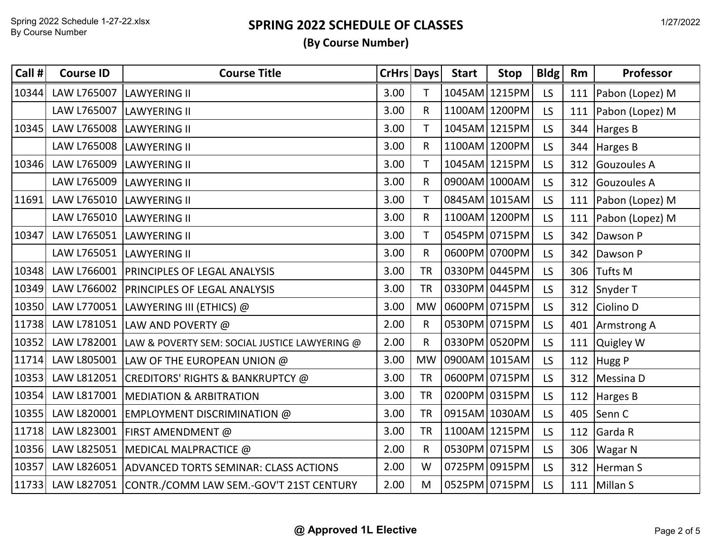| Call # | <b>Course ID</b>          | <b>Course Title</b>                                        | CrHrs Days |              | <b>Start</b>  | <b>Stop</b>   | Bldg      | Rm  | Professor             |
|--------|---------------------------|------------------------------------------------------------|------------|--------------|---------------|---------------|-----------|-----|-----------------------|
| 10344  | LAW L765007               | <b>LAWYERING II</b>                                        | 3.00       | T.           |               | 1045AM 1215PM | LS        | 111 | Pabon (Lopez) M       |
|        | LAW L765007               | <b>LAWYERING II</b>                                        | 3.00       | $\mathsf{R}$ | 1100AM 1200PM |               | LS.       | 111 | Pabon (Lopez) M       |
| 10345  | LAW L765008  LAWYERING II |                                                            | 3.00       | T.           | 1045AM 1215PM |               | <b>LS</b> |     | 344 Harges B          |
|        | LAW L765008 LAWYERING II  |                                                            | 3.00       | R.           | 1100AM 1200PM |               | LS.       |     | 344 Harges B          |
| 10346  | LAW L765009  LAWYERING II |                                                            | 3.00       | Τ            | 1045AM 1215PM |               | LS.       |     | 312 Gouzoules A       |
|        | LAW L765009               | <b>LAWYERING II</b>                                        | 3.00       | $\mathsf{R}$ | 0900AM 1000AM |               | LS.       |     | 312 Gouzoules A       |
| 11691  | LAW L765010 LAWYERING II  |                                                            | 3.00       |              | 0845AM 1015AM |               | LS.       |     | 111   Pabon (Lopez) M |
|        | LAW L765010 LAWYERING II  |                                                            | 3.00       | R.           | 1100AM 1200PM |               | LS        | 111 | Pabon (Lopez) M       |
| 10347  | LAW L765051 LAWYERING II  |                                                            | 3.00       | T            | 0545PM 0715PM |               | LS.       |     | 342 Dawson P          |
|        | LAW L765051  LAWYERING II |                                                            | 3.00       | $\mathsf{R}$ | 0600PM 0700PM |               | LS.       |     | 342 Dawson P          |
| 10348  |                           | LAW L766001   PRINCIPLES OF LEGAL ANALYSIS                 | 3.00       | <b>TR</b>    | 0330PM 0445PM |               | LS.       |     | 306 Tufts M           |
| 10349  |                           | LAW L766002   PRINCIPLES OF LEGAL ANALYSIS                 | 3.00       | <b>TR</b>    | 0330PM 0445PM |               | LS        |     | 312 Snyder T          |
| 10350  |                           | LAW L770051  LAWYERING III (ETHICS) @                      | 3.00       | <b>MW</b>    | 0600PM 0715PM |               | LS.       |     | 312 Ciolino D         |
| 11738  |                           | LAW L781051 LAW AND POVERTY @                              | 2.00       | $\mathsf{R}$ | 0530PM 0715PM |               | LS.       |     | 401 Armstrong A       |
| 10352  |                           | LAW L782001  LAW & POVERTY SEM: SOCIAL JUSTICE LAWYERING @ | 2.00       | $\mathsf{R}$ | 0330PM 0520PM |               | LS.       | 111 | Quigley W             |
| 11714  |                           | LAW L805001 LAW OF THE EUROPEAN UNION @                    | 3.00       | <b>MW</b>    | 0900AM 1015AM |               | LS.       |     | 112 Hugg P            |
| 10353  |                           | LAW L812051 CREDITORS' RIGHTS & BANKRUPTCY @               | 3.00       | <b>TR</b>    | 0600PM 0715PM |               | LS.       |     | 312 Messina D         |
| 10354  |                           | LAW L817001   MEDIATION & ARBITRATION                      | 3.00       | <b>TR</b>    | 0200PM 0315PM |               | LS        |     | 112 Harges B          |
| 10355  |                           | LAW L820001 EMPLOYMENT DISCRIMINATION @                    | 3.00       | <b>TR</b>    | 0915AM 1030AM |               | LS        |     | 405 Senn C            |
| 11718  | LAW L823001               | <b>FIRST AMENDMENT @</b>                                   | 3.00       | <b>TR</b>    | 1100AM 1215PM |               | <b>LS</b> | 112 | Garda R               |
| 10356  |                           | LAW L825051   MEDICAL MALPRACTICE @                        | 2.00       | $\mathsf{R}$ | 0530PM 0715PM |               | LS        |     | 306   Wagar N         |
| 10357  |                           | LAW L826051   ADVANCED TORTS SEMINAR: CLASS ACTIONS        | 2.00       | W            | 0725PM 0915PM |               | LS        | 312 | Herman S              |
| 11733  |                           | LAW L827051 CONTR./COMM LAW SEM.-GOV'T 21ST CENTURY        | 2.00       | M            | 0525PM 0715PM |               | LS        |     | 111 Millan S          |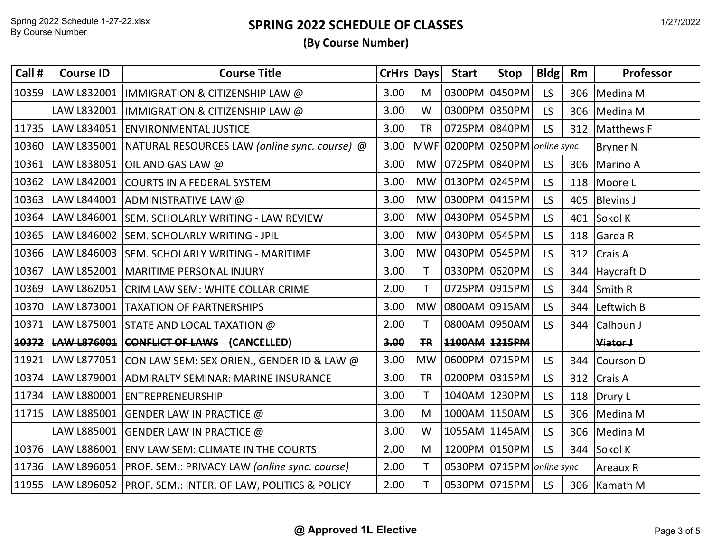| Call # | <b>Course ID</b> | <b>Course Title</b>                                         |      | <b>CrHrs Days</b> | <b>Start</b>  | Stop                      | Bldg                                   | Rm  | Professor        |
|--------|------------------|-------------------------------------------------------------|------|-------------------|---------------|---------------------------|----------------------------------------|-----|------------------|
| 10359  | LAW L832001      | IMMIGRATION & CITIZENSHIP LAW @                             | 3.00 | M                 |               | 0300PM 0450PM             | LS.                                    | 306 | Medina M         |
|        |                  | LAW L832001  IMMIGRATION & CITIZENSHIP LAW @                | 3.00 | W                 |               | 0300PM 0350PM             | LS                                     | 306 | Medina M         |
| 11735  |                  | LAW L834051 ENVIRONMENTAL JUSTICE                           | 3.00 | <b>TR</b>         | 0725PM 0840PM |                           | LS                                     | 312 | Matthews F       |
| 10360  |                  | LAW L835001   NATURAL RESOURCES LAW (online sync. course) @ | 3.00 |                   |               |                           | $MWF$ 0200PM 0250PM <i>online sync</i> |     | <b>Bryner N</b>  |
| 10361  |                  | LAW L838051 OIL AND GAS LAW @                               | 3.00 | <b>MW</b>         | 0725PM 0840PM |                           | <b>LS</b>                              | 306 | Marino A         |
| 10362  |                  | LAW L842001 COURTS IN A FEDERAL SYSTEM                      | 3.00 | <b>MW</b>         | 0130PM 0245PM |                           | LS                                     |     | 118 Moore L      |
| 10363  |                  | LAW L844001 ADMINISTRATIVE LAW @                            | 3.00 | <b>MW</b>         | 0300PM 0415PM |                           | LS                                     | 405 | <b>Blevins J</b> |
| 10364  |                  | LAW L846001 SEM. SCHOLARLY WRITING - LAW REVIEW             | 3.00 | <b>MW</b>         | 0430PM 0545PM |                           | <b>LS</b>                              | 401 | Sokol K          |
| 10365  |                  | LAW L846002 SEM. SCHOLARLY WRITING - JPIL                   | 3.00 | <b>MW</b>         | 0430PM 0545PM |                           | <b>LS</b>                              | 118 | Garda R          |
| 10366  |                  | LAW L846003 SEM. SCHOLARLY WRITING - MARITIME               | 3.00 | <b>MW</b>         | 0430PM 0545PM |                           | LS                                     | 312 | Crais A          |
| 10367  |                  | LAW L852001   MARITIME PERSONAL INJURY                      | 3.00 | T.                | 0330PM 0620PM |                           | LS                                     |     | 344 Haycraft D   |
| 10369  |                  | LAW L862051 CRIM LAW SEM: WHITE COLLAR CRIME                | 2.00 | T.                | 0725PM 0915PM |                           | LS                                     | 344 | Smith R          |
| 10370  |                  | LAW L873001   TAXATION OF PARTNERSHIPS                      | 3.00 | <b>MW</b>         | 0800AM 0915AM |                           | LS                                     | 344 | Leftwich B       |
| 10371  |                  | LAW L875001 STATE AND LOCAL TAXATION @                      | 2.00 | $\mathsf{T}$      |               | 0800AM 0950AM             | LS                                     | 344 | Calhoun J        |
| 10372  |                  | LAW L876001 CONFLICT OF LAWS (CANCELLED)                    | 3.00 | TR                | 1100AM 1215PM |                           |                                        |     | Viator J         |
| 11921  |                  | LAW L877051 CON LAW SEM: SEX ORIEN., GENDER ID & LAW @      | 3.00 | <b>MW</b>         | 0600PM 0715PM |                           | LS                                     |     | 344 Courson D    |
| 10374  |                  | LAW L879001 ADMIRALTY SEMINAR: MARINE INSURANCE             | 3.00 | <b>TR</b>         | 0200PM 0315PM |                           | LS                                     | 312 | Crais A          |
| 11734  |                  | LAW L880001 ENTREPRENEURSHIP                                | 3.00 | $\mathsf{T}$      |               | 1040AM 1230PM             | LS                                     |     | 118 Drury L      |
| 11715  |                  | LAW L885001 GENDER LAW IN PRACTICE @                        | 3.00 | M                 | 1000AM 1150AM |                           | LS                                     | 306 | Medina M         |
|        |                  | LAW L885001 GENDER LAW IN PRACTICE @                        | 3.00 | W                 | 1055AM 1145AM |                           | <b>LS</b>                              |     | 306 Medina M     |
| 10376  | LAW L886001      | <b>ENV LAW SEM: CLIMATE IN THE COURTS</b>                   | 2.00 | M                 |               | 1200PM 0150PM             | LS                                     |     | 344 Sokol K      |
| 11736  |                  | LAW L896051   PROF. SEM.: PRIVACY LAW (online sync. course) | 2.00 | $\mathsf{T}$      |               | 0530PM 0715PM online sync |                                        |     | <b>Areaux R</b>  |
| 11955  |                  | LAW L896052   PROF. SEM.: INTER. OF LAW, POLITICS & POLICY  | 2.00 | T                 |               | 0530PM 0715PM             | LS.                                    |     | 306 Kamath M     |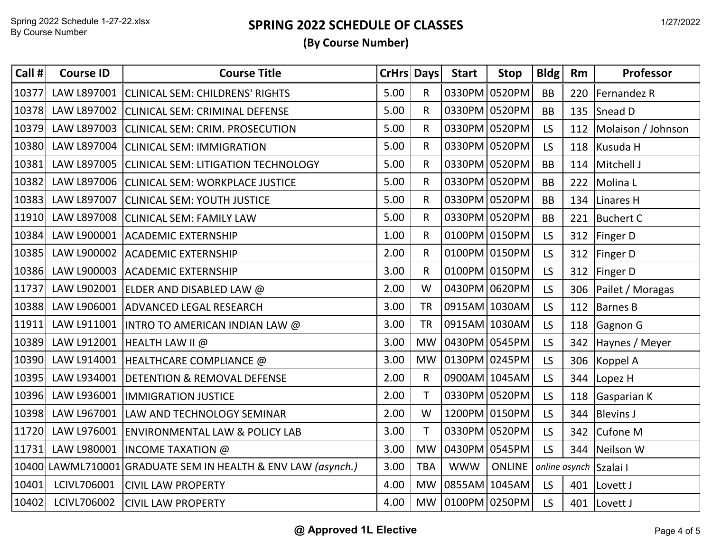| Call # | <b>Course ID</b> | <b>Course Title</b>                                          | <b>CrHrs Days</b> |              | <b>Start</b>     | <b>Stop</b>   | Bldg      | Rm  | Professor              |
|--------|------------------|--------------------------------------------------------------|-------------------|--------------|------------------|---------------|-----------|-----|------------------------|
| 10377  | LAW L897001      | <b>CLINICAL SEM: CHILDRENS' RIGHTS</b>                       | 5.00              | R.           | 0330PM 0520PM    |               | <b>BB</b> | 220 | Fernandez R            |
| 10378  |                  | LAW L897002 CLINICAL SEM: CRIMINAL DEFENSE                   | 5.00              | R.           | 0330PM 0520PM    |               | <b>BB</b> |     | 135 Snead D            |
| 10379  |                  | LAW L897003 CLINICAL SEM: CRIM. PROSECUTION                  | 5.00              | R.           | 0330PM 0520PM    |               | LS        | 112 | Molaison / Johnson     |
| 10380  |                  | LAW L897004 CLINICAL SEM: IMMIGRATION                        | 5.00              | R.           | 0330PM 0520PM    |               | LS        |     | 118 Kusuda H           |
| 10381  |                  | LAW L897005 CLINICAL SEM: LITIGATION TECHNOLOGY              | 5.00              | R            | 0330PM 0520PM    |               | <b>BB</b> |     | 114 Mitchell J         |
| 10382  |                  | LAW L897006 CLINICAL SEM: WORKPLACE JUSTICE                  | 5.00              | R            | 0330PM 0520PM    |               | <b>BB</b> |     | 222 Molina L           |
| 10383  | LAW L897007      | <b>CLINICAL SEM: YOUTH JUSTICE</b>                           | 5.00              | R            | 0330PM 0520PM    |               | <b>BB</b> | 134 | Linares H              |
| 11910  |                  | LAW L897008 CLINICAL SEM: FAMILY LAW                         | 5.00              | R.           | 0330PM 0520PM    |               | <b>BB</b> |     | 221 Buchert C          |
| 10384  |                  | LAW L900001 ACADEMIC EXTERNSHIP                              | 1.00              | R.           | 0100PM 0150PM    |               | LS        | 312 | Finger D               |
| 10385  |                  | LAW L900002 ACADEMIC EXTERNSHIP                              | 2.00              | R.           | 0100PM 0150PM    |               | LS        |     | 312 Finger D           |
| 10386  |                  | LAW L900003 ACADEMIC EXTERNSHIP                              | 3.00              | R.           | 0100PM 0150PM    |               | LS        | 312 | Finger D               |
| 11737  |                  | LAW L902001 ELDER AND DISABLED LAW @                         | 2.00              | W            | 0430PM 0620PM    |               | LS        |     | 306   Pailet / Moragas |
| 10388  |                  | LAW L906001 ADVANCED LEGAL RESEARCH                          | 3.00              | <b>TR</b>    | 0915AM 1030AM    |               | LS        |     | 112 Barnes B           |
| 11911  |                  | LAW L911001   INTRO TO AMERICAN INDIAN LAW @                 | 3.00              | <b>TR</b>    | 0915AM 1030AM    |               | LS        |     | 118 Gagnon G           |
| 10389  | LAW L912001      | <b>HEALTH LAW II @</b>                                       | 3.00              | <b>MW</b>    | 0430PM 0545PM    |               | LS        |     | 342 Haynes / Meyer     |
| 10390  |                  | LAW L914001   HEALTHCARE COMPLIANCE @                        | 3.00              | <b>MW</b>    | 0130PM 0245PM    |               | <b>LS</b> |     | 306 Koppel A           |
| 10395  |                  | LAW L934001   DETENTION & REMOVAL DEFENSE                    | 2.00              | $\mathsf{R}$ | 0900AM 1045AM    |               | <b>LS</b> | 344 | Lopez H                |
| 10396  |                  | LAW L936001  IMMIGRATION JUSTICE                             | 2.00              | T.           | 0330PM 0520PM    |               | LS        |     | 118 Gasparian K        |
| 10398  |                  | LAW L967001 LAW AND TECHNOLOGY SEMINAR                       | 2.00              | W            | 1200PM 0150PM    |               | LS        |     | 344 Blevins J          |
| 11720  |                  | LAW L976001   ENVIRONMENTAL LAW & POLICY LAB                 | 3.00              | T.           | 0330PM 0520PM    |               | <b>LS</b> |     | 342 Cufone M           |
| 11731  |                  | LAW L980001   INCOME TAXATION @                              | 3.00              | <b>MW</b>    | 0430PM 0545PM    |               | <b>LS</b> | 344 | Neilson W              |
|        |                  | 10400 LAWML710001 GRADUATE SEM IN HEALTH & ENV LAW (asynch.) | 3.00              | <b>TBA</b>   | <b>WWW</b>       | <b>ONLINE</b> |           |     | online asynch Szalai I |
| 10401  | LCIVL706001      | <b>CIVIL LAW PROPERTY</b>                                    | 4.00              | <b>MW</b>    | 0855AM 1045AM    |               | LS.       | 401 | Lovett J               |
| 10402  | LCIVL706002      | <b>CIVIL LAW PROPERTY</b>                                    | 4.00              |              | MW 0100PM 0250PM |               | LS.       |     | 401 Lovett J           |